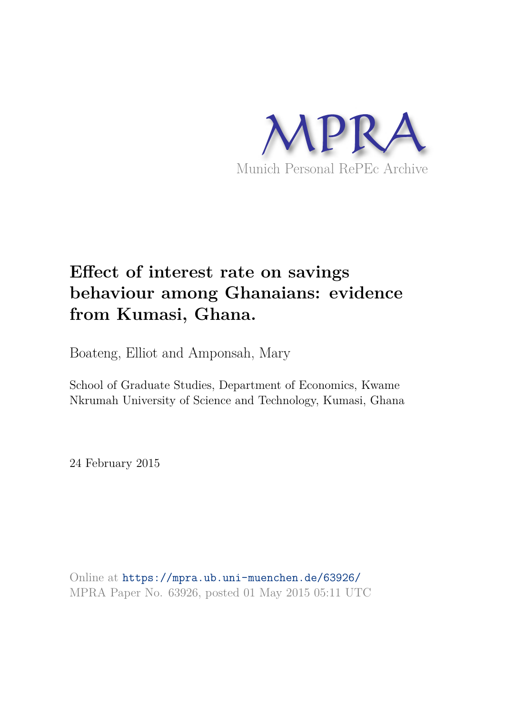

# **Effect of interest rate on savings behaviour among Ghanaians: evidence from Kumasi, Ghana.**

Boateng, Elliot and Amponsah, Mary

School of Graduate Studies, Department of Economics, Kwame Nkrumah University of Science and Technology, Kumasi, Ghana

24 February 2015

Online at https://mpra.ub.uni-muenchen.de/63926/ MPRA Paper No. 63926, posted 01 May 2015 05:11 UTC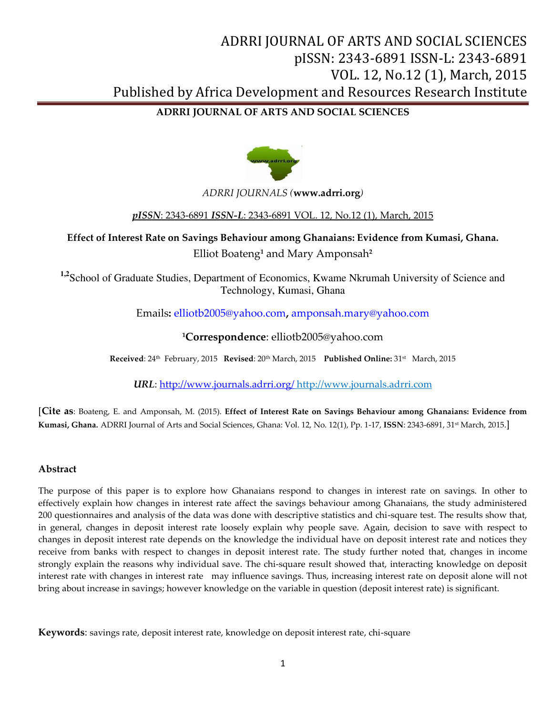### **ADRRI JOURNAL OF ARTS AND SOCIAL SCIENCES**



### *ADRRI JOURNALS (***www.adrri.org***)*

### *pISSN*: 2343-6891 *ISSN-L*: 2343-6891 VOL. 12, No.12 (1), March, 2015

**Effect of Interest Rate on Savings Behaviour among Ghanaians: Evidence from Kumasi, Ghana.**  Elliot Boateng**<sup>1</sup>** and Mary Amponsah**<sup>2</sup>**

**1,2**School of Graduate Studies, Department of Economics, Kwame Nkrumah University of Science and Technology, Kumasi, Ghana

Emails**:** [elliotb2005@yahoo.com](mailto:elliotb2005@yahoo.com)**,** [amponsah.mary@yahoo.com](mailto:amponsah.mary@yahoo.com)

### **<sup>1</sup>Correspondence**: elliotb2005@yahoo.com

**Received**: 24th February, 2015 **Revised**: 20th March, 2015 **Published Online:** 31st March, 2015

*URL*[: http://www.journals.adrri.org/](http://www.journals.adrri.org/) http://www.journals.adrri.com

[**Cite as**: Boateng, E. and Amponsah, M. (2015). **Effect of Interest Rate on Savings Behaviour among Ghanaians: Evidence from Kumasi, Ghana.** ADRRI Journal of Arts and Social Sciences, Ghana: Vol. 12, No. 12(1), Pp. 1-17, **ISSN**: 2343-6891, 31st March, 2015.]

### **Abstract**

The purpose of this paper is to explore how Ghanaians respond to changes in interest rate on savings. In other to effectively explain how changes in interest rate affect the savings behaviour among Ghanaians, the study administered 200 questionnaires and analysis of the data was done with descriptive statistics and chi-square test. The results show that, in general, changes in deposit interest rate loosely explain why people save. Again, decision to save with respect to changes in deposit interest rate depends on the knowledge the individual have on deposit interest rate and notices they receive from banks with respect to changes in deposit interest rate. The study further noted that, changes in income strongly explain the reasons why individual save. The chi-square result showed that, interacting knowledge on deposit interest rate with changes in interest rate may influence savings. Thus, increasing interest rate on deposit alone will not bring about increase in savings; however knowledge on the variable in question (deposit interest rate) is significant.

**Keywords**: savings rate, deposit interest rate, knowledge on deposit interest rate, chi-square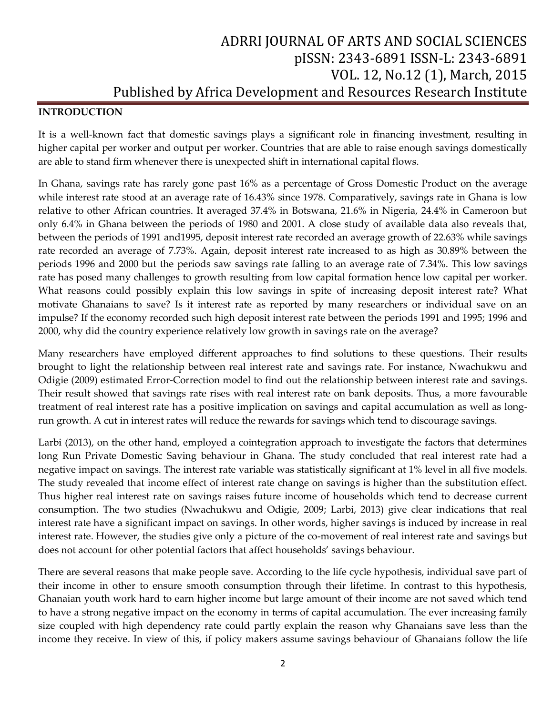### **INTRODUCTION**

It is a well-known fact that domestic savings plays a significant role in financing investment, resulting in higher capital per worker and output per worker. Countries that are able to raise enough savings domestically are able to stand firm whenever there is unexpected shift in international capital flows.

In Ghana, savings rate has rarely gone past 16% as a percentage of Gross Domestic Product on the average while interest rate stood at an average rate of 16.43% since 1978. Comparatively, savings rate in Ghana is low relative to other African countries. It averaged 37.4% in Botswana, 21.6% in Nigeria, 24.4% in Cameroon but only 6.4% in Ghana between the periods of 1980 and 2001. A close study of available data also reveals that, between the periods of 1991 and1995, deposit interest rate recorded an average growth of 22.63% while savings rate recorded an average of 7.73%. Again, deposit interest rate increased to as high as 30.89% between the periods 1996 and 2000 but the periods saw savings rate falling to an average rate of 7.34%. This low savings rate has posed many challenges to growth resulting from low capital formation hence low capital per worker. What reasons could possibly explain this low savings in spite of increasing deposit interest rate? What motivate Ghanaians to save? Is it interest rate as reported by many researchers or individual save on an impulse? If the economy recorded such high deposit interest rate between the periods 1991 and 1995; 1996 and 2000, why did the country experience relatively low growth in savings rate on the average?

Many researchers have employed different approaches to find solutions to these questions. Their results brought to light the relationship between real interest rate and savings rate. For instance, Nwachukwu and Odigie (2009) estimated Error-Correction model to find out the relationship between interest rate and savings. Their result showed that savings rate rises with real interest rate on bank deposits. Thus, a more favourable treatment of real interest rate has a positive implication on savings and capital accumulation as well as longrun growth. A cut in interest rates will reduce the rewards for savings which tend to discourage savings.

Larbi (2013), on the other hand, employed a cointegration approach to investigate the factors that determines long Run Private Domestic Saving behaviour in Ghana. The study concluded that real interest rate had a negative impact on savings. The interest rate variable was statistically significant at 1% level in all five models. The study revealed that income effect of interest rate change on savings is higher than the substitution effect. Thus higher real interest rate on savings raises future income of households which tend to decrease current consumption. The two studies (Nwachukwu and Odigie, 2009; Larbi, 2013) give clear indications that real interest rate have a significant impact on savings. In other words, higher savings is induced by increase in real interest rate. However, the studies give only a picture of the co-movement of real interest rate and savings but does not account for other potential factors that affect households' savings behaviour.

There are several reasons that make people save. According to the life cycle hypothesis, individual save part of their income in other to ensure smooth consumption through their lifetime. In contrast to this hypothesis, Ghanaian youth work hard to earn higher income but large amount of their income are not saved which tend to have a strong negative impact on the economy in terms of capital accumulation. The ever increasing family size coupled with high dependency rate could partly explain the reason why Ghanaians save less than the income they receive. In view of this, if policy makers assume savings behaviour of Ghanaians follow the life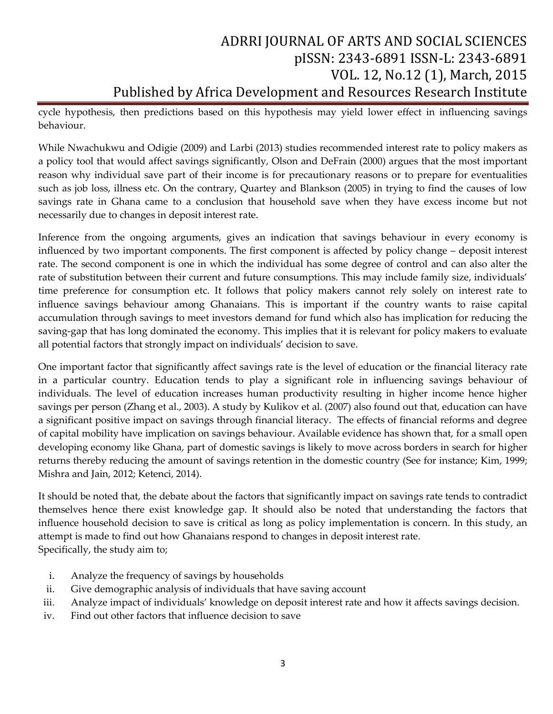cycle hypothesis, then predictions based on this hypothesis may yield lower effect in influencing savings behaviour.

While Nwachukwu and Odigie (2009) and Larbi (2013) studies recommended interest rate to policy makers as a policy tool that would affect savings significantly, Olson and DeFrain (2000) argues that the most important reason why individual save part of their income is for precautionary reasons or to prepare for eventualities such as job loss, illness etc. On the contrary, Quartey and Blankson (2005) in trying to find the causes of low savings rate in Ghana came to a conclusion that household save when they have excess income but not necessarily due to changes in deposit interest rate.

Inference from the ongoing arguments, gives an indication that savings behaviour in every economy is influenced by two important components. The first component is affected by policy change – deposit interest rate. The second component is one in which the individual has some degree of control and can also alter the rate of substitution between their current and future consumptions. This may include family size, individuals' time preference for consumption etc. It follows that policy makers cannot rely solely on interest rate to influence savings behaviour among Ghanaians. This is important if the country wants to raise capital accumulation through savings to meet investors demand for fund which also has implication for reducing the saving-gap that has long dominated the economy. This implies that it is relevant for policy makers to evaluate all potential factors that strongly impact on individuals' decision to save.

One important factor that significantly affect savings rate is the level of education or the financial literacy rate in a particular country. Education tends to play a significant role in influencing savings behaviour of individuals. The level of education increases human productivity resulting in higher income hence higher savings per person (Zhang et al., 2003). A study by Kulikov et al. (2007) also found out that, education can have a significant positive impact on savings through financial literacy. The effects of financial reforms and degree of capital mobility have implication on savings behaviour. Available evidence has shown that, for a small open developing economy like Ghana, part of domestic savings is likely to move across borders in search for higher returns thereby reducing the amount of savings retention in the domestic country (See for instance; Kim, 1999; Mishra and Jain, 2012; Ketenci, 2014).

It should be noted that, the debate about the factors that significantly impact on savings rate tends to contradict themselves hence there exist knowledge gap. It should also be noted that understanding the factors that influence household decision to save is critical as long as policy implementation is concern. In this study, an attempt is made to find out how Ghanaians respond to changes in deposit interest rate. Specifically, the study aim to;

- i. Analyze the frequency of savings by households
- ii. Give demographic analysis of individuals that have saving account
- iii. Analyze impact of individuals' knowledge on deposit interest rate and how it affects savings decision.
- iv. Find out other factors that influence decision to save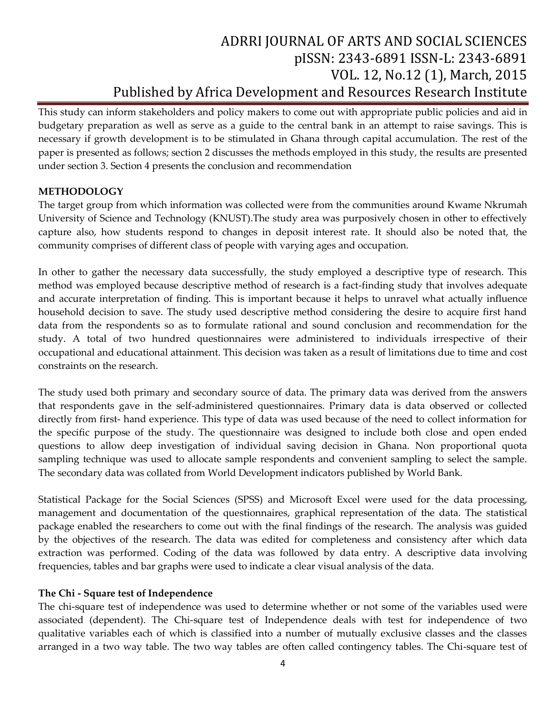This study can inform stakeholders and policy makers to come out with appropriate public policies and aid in budgetary preparation as well as serve as a guide to the central bank in an attempt to raise savings. This is necessary if growth development is to be stimulated in Ghana through capital accumulation. The rest of the paper is presented as follows; section 2 discusses the methods employed in this study, the results are presented under section 3. Section 4 presents the conclusion and recommendation

### **METHODOLOGY**

The target group from which information was collected were from the communities around Kwame Nkrumah University of Science and Technology (KNUST).The study area was purposively chosen in other to effectively capture also, how students respond to changes in deposit interest rate. It should also be noted that, the community comprises of different class of people with varying ages and occupation.

In other to gather the necessary data successfully, the study employed a descriptive type of research. This method was employed because descriptive method of research is a fact-finding study that involves adequate and accurate interpretation of finding. This is important because it helps to unravel what actually influence household decision to save. The study used descriptive method considering the desire to acquire first hand data from the respondents so as to formulate rational and sound conclusion and recommendation for the study. A total of two hundred questionnaires were administered to individuals irrespective of their occupational and educational attainment. This decision was taken as a result of limitations due to time and cost constraints on the research.

The study used both primary and secondary source of data. The primary data was derived from the answers that respondents gave in the self-administered questionnaires. Primary data is data observed or collected directly from first- hand experience. This type of data was used because of the need to collect information for the specific purpose of the study. The questionnaire was designed to include both close and open ended questions to allow deep investigation of individual saving decision in Ghana. Non proportional quota sampling technique was used to allocate sample respondents and convenient sampling to select the sample. The secondary data was collated from World Development indicators published by World Bank.

Statistical Package for the Social Sciences (SPSS) and Microsoft Excel were used for the data processing, management and documentation of the questionnaires, graphical representation of the data. The statistical package enabled the researchers to come out with the final findings of the research. The analysis was guided by the objectives of the research. The data was edited for completeness and consistency after which data extraction was performed. Coding of the data was followed by data entry. A descriptive data involving frequencies, tables and bar graphs were used to indicate a clear visual analysis of the data.

### **The Chi - Square test of Independence**

The chi-square test of independence was used to determine whether or not some of the variables used were associated (dependent). The Chi-square test of Independence deals with test for independence of two qualitative variables each of which is classified into a number of mutually exclusive classes and the classes arranged in a two way table. The two way tables are often called contingency tables. The Chi-square test of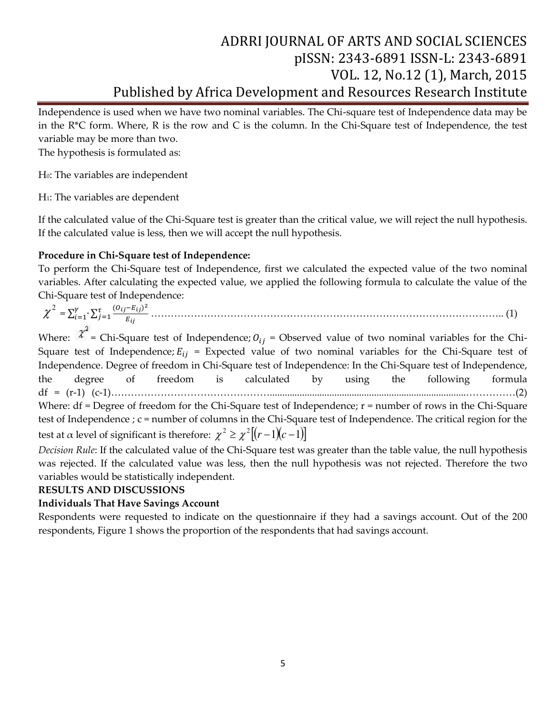Independence is used when we have two nominal variables. The Chi-square test of Independence data may be in the R\*C form. Where, R is the row and C is the column. In the Chi-Square test of Independence, the test variable may be more than two.

The hypothesis is formulated as:

H0: The variables are independent

H1: The variables are dependent

If the calculated value of the Chi-Square test is greater than the critical value, we will reject the null hypothesis. If the calculated value is less, then we will accept the null hypothesis.

### **Procedure in Chi-Square test of Independence:**

To perform the Chi-Square test of Independence, first we calculated the expected value of the two nominal variables. After calculating the expected value, we applied the following formula to calculate the value of the Chi-Square test of Independence:

 $\chi^2 = \sum_{i=1}^{y} \sum_{j=1}^{t} \frac{(O_{ij} - E_{ij})^2}{E_{ij}}$ E …………………………………………………………………………………………….. (1)

Where:  $\chi^2$  = Chi-Square test of Independence;  $O_{ij}$  = Observed value of two nominal variables for the Chi-Square test of Independence;  $E_{ij}$  = Expected value of two nominal variables for the Chi-Square test of Independence. Degree of freedom in Chi-Square test of Independence: In the Chi-Square test of Independence, the degree of freedom is calculated by using the following formula df = (r-1) (c-1)…………………………………………...............................................................................……………(2) Where: df = Degree of freedom for the Chi-Square test of Independence; r = number of rows in the Chi-Square test of Independence ; c = number of columns in the Chi-Square test of Independence. The critical region for the test at  $\alpha$  level of significant is therefore:  $\chi^2 \geq \chi^2 \left[ (r-1)(c-1) \right]$ 

*Decision Rule*: If the calculated value of the Chi-Square test was greater than the table value, the null hypothesis was rejected. If the calculated value was less, then the null hypothesis was not rejected. Therefore the two variables would be statistically independent.

### **RESULTS AND DISCUSSIONS**

### **Individuals That Have Savings Account**

Respondents were requested to indicate on the questionnaire if they had a savings account. Out of the 200 respondents, Figure 1 shows the proportion of the respondents that had savings account.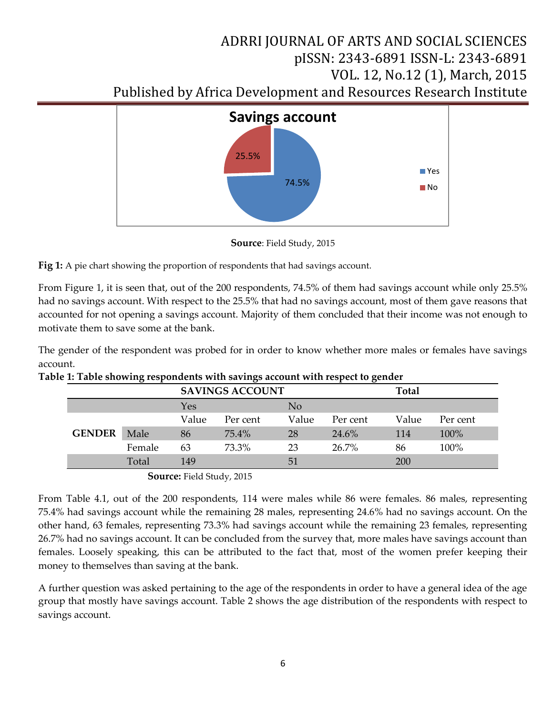

**Source**: Field Study, 2015

**Fig 1:** A pie chart showing the proportion of respondents that had savings account.

From Figure 1, it is seen that, out of the 200 respondents, 74.5% of them had savings account while only 25.5% had no savings account. With respect to the 25.5% that had no savings account, most of them gave reasons that accounted for not opening a savings account. Majority of them concluded that their income was not enough to motivate them to save some at the bank.

The gender of the respondent was probed for in order to know whether more males or females have savings account.

|               | $\epsilon$ |                        |          |       | ັ        |              |          |
|---------------|------------|------------------------|----------|-------|----------|--------------|----------|
|               |            | <b>SAVINGS ACCOUNT</b> |          |       |          | <b>Total</b> |          |
|               |            | Yes                    |          | No    |          |              |          |
|               |            | Value                  | Per cent | Value | Per cent | Value        | Per cent |
| <b>GENDER</b> | Male       | 86                     | 75.4%    | 28    | 24.6%    | 114          | 100%     |
|               | Female     | 63                     | 73.3%    | 23    | 26.7%    | 86           | 100%     |
|               | Total      | 149                    |          | 51    |          | 200          |          |
|               | $\sim$     |                        |          |       |          |              |          |

**Table 1: Table showing respondents with savings account with respect to gender**

 **Source:** Field Study, 2015

From Table 4.1, out of the 200 respondents, 114 were males while 86 were females. 86 males, representing 75.4% had savings account while the remaining 28 males, representing 24.6% had no savings account. On the other hand, 63 females, representing 73.3% had savings account while the remaining 23 females, representing 26.7% had no savings account. It can be concluded from the survey that, more males have savings account than females. Loosely speaking, this can be attributed to the fact that, most of the women prefer keeping their money to themselves than saving at the bank.

A further question was asked pertaining to the age of the respondents in order to have a general idea of the age group that mostly have savings account. Table 2 shows the age distribution of the respondents with respect to savings account.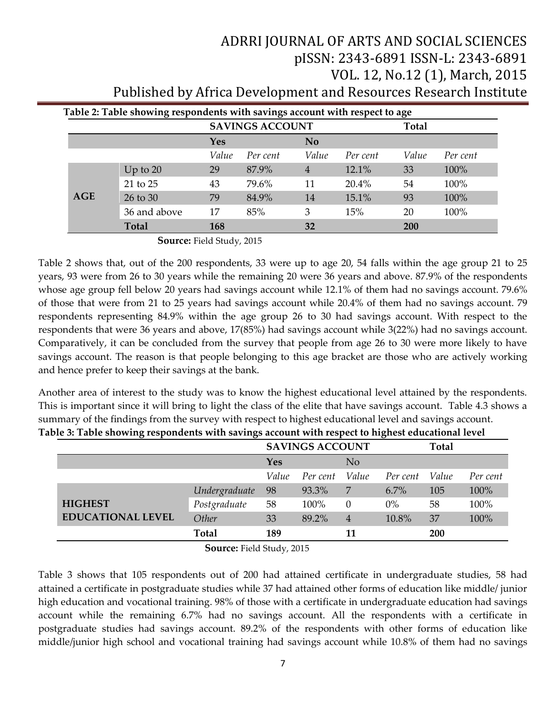|            |              | Table 2: Table showing respondents with savings account with respect to age<br><b>SAVINGS ACCOUNT</b> |          |                |          |            |          |
|------------|--------------|-------------------------------------------------------------------------------------------------------|----------|----------------|----------|------------|----------|
|            |              | Yes                                                                                                   |          | N <sub>o</sub> |          |            |          |
|            |              | Value                                                                                                 | Per cent | Value          | Per cent | Value      | Per cent |
|            | Up to $20$   | 29                                                                                                    | 87.9%    | $\overline{4}$ | 12.1%    | 33         | 100%     |
|            | 21 to 25     | 43                                                                                                    | 79.6%    | 11             | $20.4\%$ | 54         | 100%     |
| <b>AGE</b> | 26 to 30     | 79                                                                                                    | 84.9%    | 14             | 15.1%    | 93         | 100%     |
|            | 36 and above | 17                                                                                                    | 85%      | 3              | 15%      | 20         | 100%     |
|            | <b>Total</b> | 168                                                                                                   |          | 32             |          | <b>200</b> |          |

 **Source:** Field Study, 2015

Table 2 shows that, out of the 200 respondents, 33 were up to age 20, 54 falls within the age group 21 to 25 years, 93 were from 26 to 30 years while the remaining 20 were 36 years and above. 87.9% of the respondents whose age group fell below 20 years had savings account while 12.1% of them had no savings account. 79.6% of those that were from 21 to 25 years had savings account while 20.4% of them had no savings account. 79 respondents representing 84.9% within the age group 26 to 30 had savings account. With respect to the respondents that were 36 years and above, 17(85%) had savings account while 3(22%) had no savings account. Comparatively, it can be concluded from the survey that people from age 26 to 30 were more likely to have savings account. The reason is that people belonging to this age bracket are those who are actively working and hence prefer to keep their savings at the bank.

Another area of interest to the study was to know the highest educational level attained by the respondents. This is important since it will bring to light the class of the elite that have savings account. Table 4.3 shows a summary of the findings from the survey with respect to highest educational level and savings account. **Table 3: Table showing respondents with savings account with respect to highest educational level**

|                          | <b>SAVINGS ACCOUNT</b> |       |          |                |          | <b>Total</b> |          |
|--------------------------|------------------------|-------|----------|----------------|----------|--------------|----------|
|                          |                        | Yes   |          | N <sub>o</sub> |          |              |          |
|                          |                        | Value | Per cent | Value          | Per cent | Value        | Per cent |
|                          | Undergraduate          | 98    | 93.3%    | 7              | $6.7\%$  | 105          | 100%     |
| <b>HIGHEST</b>           | Postgraduate           | 58    | 100%     | $\Omega$       | $0\%$    | 58           | 100%     |
| <b>EDUCATIONAL LEVEL</b> | Other                  | 33    | 89.2%    | 4              | 10.8%    | 37           | 100%     |
|                          | <b>Total</b>           | 189   |          | 11             |          | <b>200</b>   |          |

 **Source:** Field Study, 2015

Table 3 shows that 105 respondents out of 200 had attained certificate in undergraduate studies, 58 had attained a certificate in postgraduate studies while 37 had attained other forms of education like middle/ junior high education and vocational training. 98% of those with a certificate in undergraduate education had savings account while the remaining 6.7% had no savings account. All the respondents with a certificate in postgraduate studies had savings account. 89.2% of the respondents with other forms of education like middle/junior high school and vocational training had savings account while 10.8% of them had no savings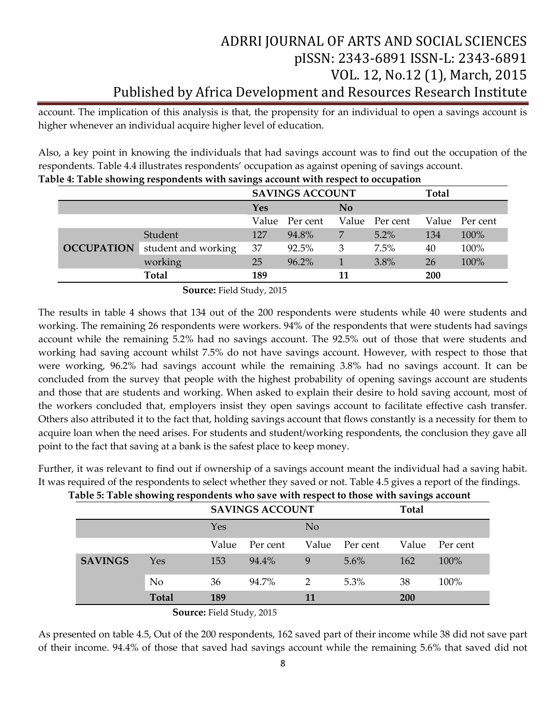account. The implication of this analysis is that, the propensity for an individual to open a savings account is higher whenever an individual acquire higher level of education.

Also, a key point in knowing the individuals that had savings account was to find out the occupation of the respondents. Table 4.4 illustrates respondents' occupation as against opening of savings account.

|                   |                     |     | <b>SAVINGS ACCOUNT</b> |                |                | Total |                |
|-------------------|---------------------|-----|------------------------|----------------|----------------|-------|----------------|
|                   |                     | Yes |                        | N <sub>o</sub> |                |       |                |
|                   |                     |     | Value Per cent         |                | Value Per cent |       | Value Per cent |
| <b>OCCUPATION</b> | Student             | 127 | 94.8%                  | 7              | 5.2%           | 134   | 100%           |
|                   | student and working | 37  | 92.5%                  | 3              | 7.5%           | 40    | 100%           |
|                   | working             | 25  | 96.2%                  |                | 3.8%           | 26    | 100%           |
|                   | <b>Total</b>        | 189 |                        | 11             |                | 200   |                |

| Table 4: Table showing respondents with savings account with respect to occupation |
|------------------------------------------------------------------------------------|
|------------------------------------------------------------------------------------|

 **Source:** Field Study, 2015

The results in table 4 shows that 134 out of the 200 respondents were students while 40 were students and working. The remaining 26 respondents were workers. 94% of the respondents that were students had savings account while the remaining 5.2% had no savings account. The 92.5% out of those that were students and working had saving account whilst 7.5% do not have savings account. However, with respect to those that were working, 96.2% had savings account while the remaining 3.8% had no savings account. It can be concluded from the survey that people with the highest probability of opening savings account are students and those that are students and working. When asked to explain their desire to hold saving account, most of the workers concluded that, employers insist they open savings account to facilitate effective cash transfer. Others also attributed it to the fact that, holding savings account that flows constantly is a necessity for them to acquire loan when the need arises. For students and student/working respondents, the conclusion they gave all point to the fact that saving at a bank is the safest place to keep money.

Further, it was relevant to find out if ownership of a savings account meant the individual had a saving habit. It was required of the respondents to select whether they saved or not. Table 4.5 gives a report of the findings.

| Table 5: Table showing respondents who save with respect to those with savings account |                |       |                        |                |          |       |          |
|----------------------------------------------------------------------------------------|----------------|-------|------------------------|----------------|----------|-------|----------|
|                                                                                        |                |       | <b>SAVINGS ACCOUNT</b> |                | Total    |       |          |
|                                                                                        |                | Yes   |                        | N <sub>o</sub> |          |       |          |
|                                                                                        |                | Value | Per cent               | Value          | Per cent | Value | Per cent |
| <b>SAVINGS</b>                                                                         | Yes            | 153   | 94.4%                  | 9              | $5.6\%$  | 162   | $100\%$  |
|                                                                                        | N <sub>o</sub> | 36    | 94.7%                  | 2              | $5.3\%$  | 38    | $100\%$  |
|                                                                                        | <b>Total</b>   | 189   |                        |                |          | 200   |          |

**Source:** Field Study, 2015

As presented on table 4.5, Out of the 200 respondents, 162 saved part of their income while 38 did not save part of their income. 94.4% of those that saved had savings account while the remaining 5.6% that saved did not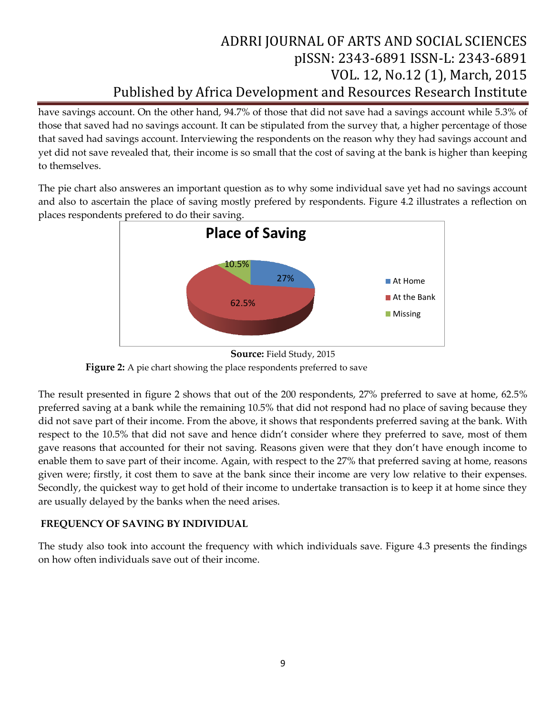have savings account. On the other hand, 94.7% of those that did not save had a savings account while 5.3% of those that saved had no savings account. It can be stipulated from the survey that, a higher percentage of those that saved had savings account. Interviewing the respondents on the reason why they had savings account and yet did not save revealed that, their income is so small that the cost of saving at the bank is higher than keeping to themselves.

The pie chart also answeres an important question as to why some individual save yet had no savings account and also to ascertain the place of saving mostly prefered by respondents. Figure 4.2 illustrates a reflection on places respondents prefered to do their saving.





The result presented in figure 2 shows that out of the 200 respondents, 27% preferred to save at home, 62.5% preferred saving at a bank while the remaining 10.5% that did not respond had no place of saving because they did not save part of their income. From the above, it shows that respondents preferred saving at the bank. With respect to the 10.5% that did not save and hence didn't consider where they preferred to save, most of them gave reasons that accounted for their not saving. Reasons given were that they don't have enough income to enable them to save part of their income. Again, with respect to the 27% that preferred saving at home, reasons given were; firstly, it cost them to save at the bank since their income are very low relative to their expenses. Secondly, the quickest way to get hold of their income to undertake transaction is to keep it at home since they are usually delayed by the banks when the need arises.

### **FREQUENCY OF SAVING BY INDIVIDUAL**

The study also took into account the frequency with which individuals save. Figure 4.3 presents the findings on how often individuals save out of their income.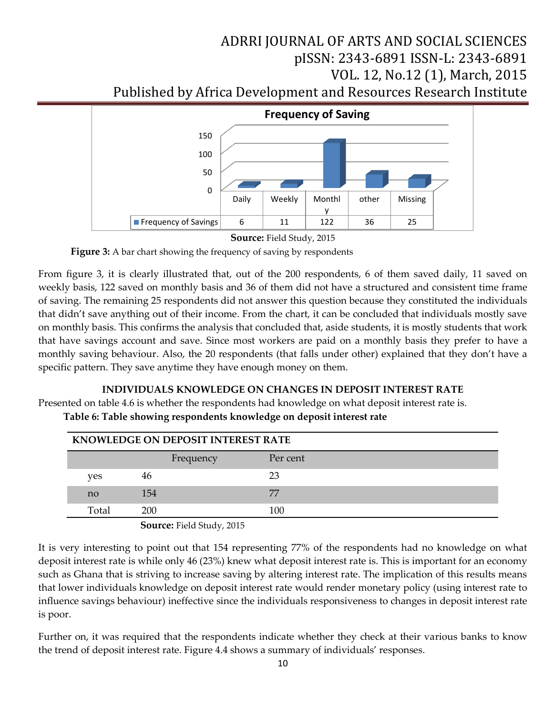

**Source:** Field Study, 2015

Figure 3: A bar chart showing the frequency of saving by respondents

From figure 3, it is clearly illustrated that, out of the 200 respondents, 6 of them saved daily, 11 saved on weekly basis, 122 saved on monthly basis and 36 of them did not have a structured and consistent time frame of saving. The remaining 25 respondents did not answer this question because they constituted the individuals that didn't save anything out of their income. From the chart, it can be concluded that individuals mostly save on monthly basis. This confirms the analysis that concluded that, aside students, it is mostly students that work that have savings account and save. Since most workers are paid on a monthly basis they prefer to have a monthly saving behaviour. Also, the 20 respondents (that falls under other) explained that they don't have a specific pattern. They save anytime they have enough money on them.

### **INDIVIDUALS KNOWLEDGE ON CHANGES IN DEPOSIT INTEREST RATE**

Presented on table 4.6 is whether the respondents had knowledge on what deposit interest rate is.  **Table 6: Table showing respondents knowledge on deposit interest rate**

| <b>KNOWLEDGE ON DEPOSIT INTEREST RATE</b> |       |           |          |  |  |  |
|-------------------------------------------|-------|-----------|----------|--|--|--|
|                                           |       | Frequency | Per cent |  |  |  |
|                                           | ves   | 46        | 23       |  |  |  |
|                                           | no    | 154       | 77       |  |  |  |
|                                           | Total | 200       | 100      |  |  |  |

**Source:** Field Study, 2015

It is very interesting to point out that 154 representing 77% of the respondents had no knowledge on what deposit interest rate is while only 46 (23%) knew what deposit interest rate is. This is important for an economy such as Ghana that is striving to increase saving by altering interest rate. The implication of this results means that lower individuals knowledge on deposit interest rate would render monetary policy (using interest rate to influence savings behaviour) ineffective since the individuals responsiveness to changes in deposit interest rate is poor.

Further on, it was required that the respondents indicate whether they check at their various banks to know the trend of deposit interest rate. Figure 4.4 shows a summary of individuals' responses.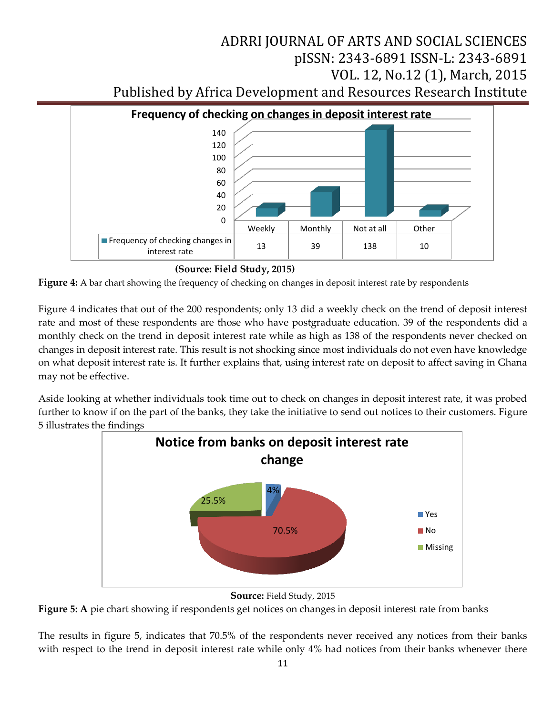

**(Source: Field Study, 2015)** 



Figure 4 indicates that out of the 200 respondents; only 13 did a weekly check on the trend of deposit interest rate and most of these respondents are those who have postgraduate education. 39 of the respondents did a monthly check on the trend in deposit interest rate while as high as 138 of the respondents never checked on changes in deposit interest rate. This result is not shocking since most individuals do not even have knowledge on what deposit interest rate is. It further explains that, using interest rate on deposit to affect saving in Ghana may not be effective.

Aside looking at whether individuals took time out to check on changes in deposit interest rate, it was probed further to know if on the part of the banks, they take the initiative to send out notices to their customers. Figure 5 illustrates the findings



**Source:** Field Study, 2015

**Figure 5: A** pie chart showing if respondents get notices on changes in deposit interest rate from banks

The results in figure 5, indicates that 70.5% of the respondents never received any notices from their banks with respect to the trend in deposit interest rate while only 4% had notices from their banks whenever there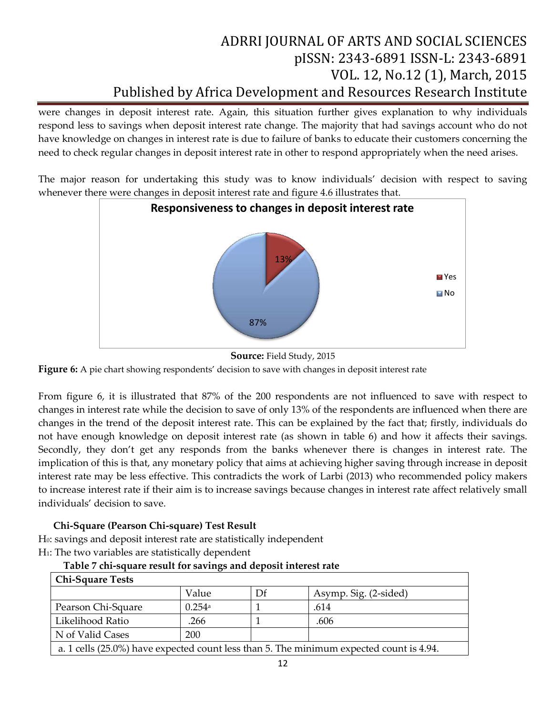were changes in deposit interest rate. Again, this situation further gives explanation to why individuals respond less to savings when deposit interest rate change. The majority that had savings account who do not have knowledge on changes in interest rate is due to failure of banks to educate their customers concerning the need to check regular changes in deposit interest rate in other to respond appropriately when the need arises.

The major reason for undertaking this study was to know individuals' decision with respect to saving whenever there were changes in deposit interest rate and figure 4.6 illustrates that.



**Source:** Field Study, 2015

**Figure 6:** A pie chart showing respondents' decision to save with changes in deposit interest rate

From figure 6, it is illustrated that 87% of the 200 respondents are not influenced to save with respect to changes in interest rate while the decision to save of only 13% of the respondents are influenced when there are changes in the trend of the deposit interest rate. This can be explained by the fact that; firstly, individuals do not have enough knowledge on deposit interest rate (as shown in table 6) and how it affects their savings. Secondly, they don't get any responds from the banks whenever there is changes in interest rate. The implication of this is that, any monetary policy that aims at achieving higher saving through increase in deposit interest rate may be less effective. This contradicts the work of Larbi (2013) who recommended policy makers to increase interest rate if their aim is to increase savings because changes in interest rate affect relatively small individuals' decision to save.

### **Chi-Square (Pearson Chi-square) Test Result**

H0: savings and deposit interest rate are statistically independent H<sub>1</sub>: The two variables are statistically dependent

| <b>Chi-Square Tests</b>                                                                 |                      |    |                       |  |  |  |
|-----------------------------------------------------------------------------------------|----------------------|----|-----------------------|--|--|--|
|                                                                                         | Value                | Df | Asymp. Sig. (2-sided) |  |  |  |
| Pearson Chi-Square                                                                      | $0.254$ <sup>a</sup> |    | .614                  |  |  |  |
| Likelihood Ratio                                                                        | .266                 |    | .606                  |  |  |  |
| N of Valid Cases<br>200                                                                 |                      |    |                       |  |  |  |
| a. 1 cells (25.0%) have expected count less than 5. The minimum expected count is 4.94. |                      |    |                       |  |  |  |

### **Table 7 chi-square result for savings and deposit interest rate**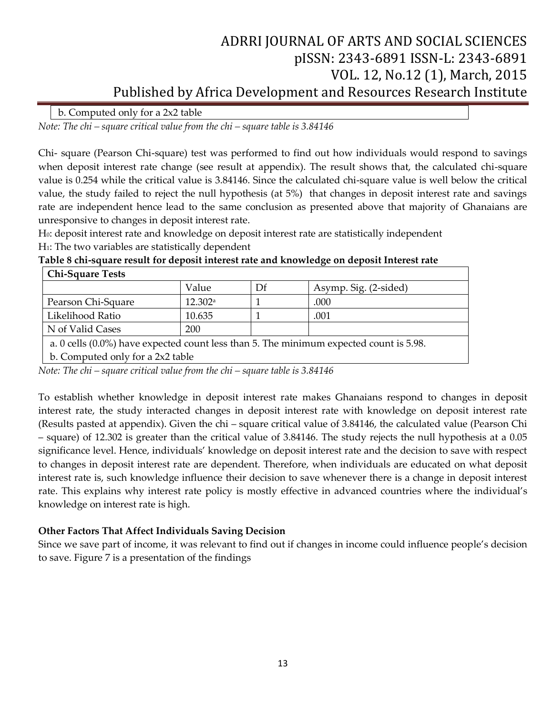b. Computed only for a 2x2 table

*Note: The chi – square critical value from the chi – square table is 3.84146* 

Chi- square (Pearson Chi-square) test was performed to find out how individuals would respond to savings when deposit interest rate change (see result at appendix). The result shows that, the calculated chi-square value is 0.254 while the critical value is 3.84146. Since the calculated chi-square value is well below the critical value, the study failed to reject the null hypothesis (at 5%) that changes in deposit interest rate and savings rate are independent hence lead to the same conclusion as presented above that majority of Ghanaians are unresponsive to changes in deposit interest rate.

H<sub>0</sub>: deposit interest rate and knowledge on deposit interest rate are statistically independent H<sub>1</sub>: The two variables are statistically dependent

| <b>Chi-Square Tests</b>          |         |    |                                                                                           |  |  |  |
|----------------------------------|---------|----|-------------------------------------------------------------------------------------------|--|--|--|
|                                  | Value   | Df | Asymp. Sig. (2-sided)                                                                     |  |  |  |
| Pearson Chi-Square               | 12.302a |    | .000                                                                                      |  |  |  |
| Likelihood Ratio                 | 10.635  |    | .001                                                                                      |  |  |  |
| N of Valid Cases<br>200          |         |    |                                                                                           |  |  |  |
|                                  |         |    | a. 0 cells $(0.0\%)$ have expected count less than 5. The minimum expected count is 5.98. |  |  |  |
| b. Computed only for a 2x2 table |         |    |                                                                                           |  |  |  |

**Table 8 chi-square result for deposit interest rate and knowledge on deposit Interest rate** 

*Note: The chi – square critical value from the chi – square table is 3.84146* 

To establish whether knowledge in deposit interest rate makes Ghanaians respond to changes in deposit interest rate, the study interacted changes in deposit interest rate with knowledge on deposit interest rate (Results pasted at appendix). Given the chi – square critical value of 3.84146, the calculated value (Pearson Chi – square) of 12.302 is greater than the critical value of 3.84146. The study rejects the null hypothesis at a 0.05 significance level. Hence, individuals' knowledge on deposit interest rate and the decision to save with respect to changes in deposit interest rate are dependent. Therefore, when individuals are educated on what deposit interest rate is, such knowledge influence their decision to save whenever there is a change in deposit interest rate. This explains why interest rate policy is mostly effective in advanced countries where the individual's knowledge on interest rate is high.

### **Other Factors That Affect Individuals Saving Decision**

Since we save part of income, it was relevant to find out if changes in income could influence people's decision to save. Figure 7 is a presentation of the findings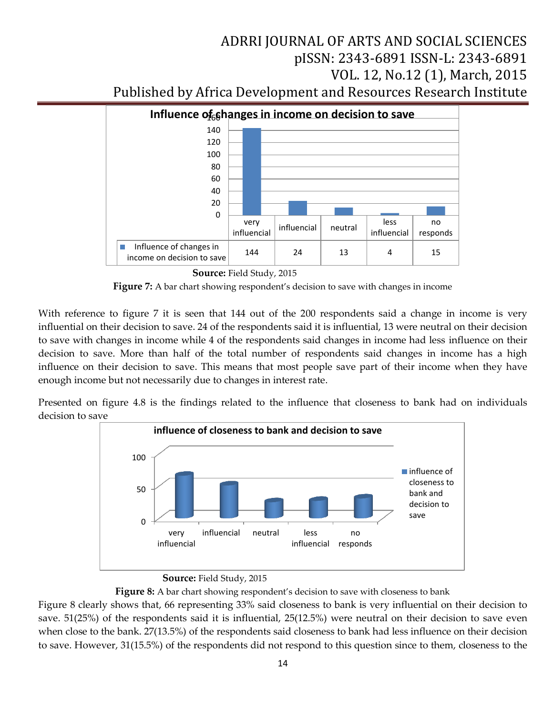

 **Source:** Field Study, 2015

**Figure 7:** A bar chart showing respondent's decision to save with changes in income

With reference to figure 7 it is seen that 144 out of the 200 respondents said a change in income is very influential on their decision to save. 24 of the respondents said it is influential, 13 were neutral on their decision to save with changes in income while 4 of the respondents said changes in income had less influence on their decision to save. More than half of the total number of respondents said changes in income has a high influence on their decision to save. This means that most people save part of their income when they have enough income but not necessarily due to changes in interest rate.

Presented on figure 4.8 is the findings related to the influence that closeness to bank had on individuals decision to save



### **Source:** Field Study, 2015

Figure 8: A bar chart showing respondent's decision to save with closeness to bank Figure 8 clearly shows that, 66 representing 33% said closeness to bank is very influential on their decision to save. 51(25%) of the respondents said it is influential, 25(12.5%) were neutral on their decision to save even when close to the bank. 27(13.5%) of the respondents said closeness to bank had less influence on their decision to save. However, 31(15.5%) of the respondents did not respond to this question since to them, closeness to the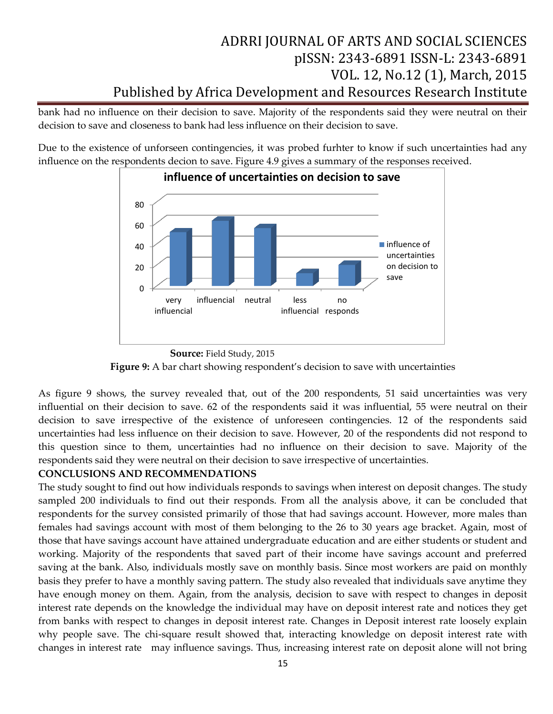bank had no influence on their decision to save. Majority of the respondents said they were neutral on their decision to save and closeness to bank had less influence on their decision to save.

Due to the existence of unforseen contingencies, it was probed furhter to know if such uncertainties had any influence on the respondents decion to save. Figure 4.9 gives a summary of the responses received.



 **Source:** Field Study, 2015 Figure 9: A bar chart showing respondent's decision to save with uncertainties

As figure 9 shows, the survey revealed that, out of the 200 respondents, 51 said uncertainties was very influential on their decision to save. 62 of the respondents said it was influential, 55 were neutral on their decision to save irrespective of the existence of unforeseen contingencies. 12 of the respondents said uncertainties had less influence on their decision to save. However, 20 of the respondents did not respond to this question since to them, uncertainties had no influence on their decision to save. Majority of the respondents said they were neutral on their decision to save irrespective of uncertainties.

### **CONCLUSIONS AND RECOMMENDATIONS**

The study sought to find out how individuals responds to savings when interest on deposit changes. The study sampled 200 individuals to find out their responds. From all the analysis above, it can be concluded that respondents for the survey consisted primarily of those that had savings account. However, more males than females had savings account with most of them belonging to the 26 to 30 years age bracket. Again, most of those that have savings account have attained undergraduate education and are either students or student and working. Majority of the respondents that saved part of their income have savings account and preferred saving at the bank. Also, individuals mostly save on monthly basis. Since most workers are paid on monthly basis they prefer to have a monthly saving pattern. The study also revealed that individuals save anytime they have enough money on them. Again, from the analysis, decision to save with respect to changes in deposit interest rate depends on the knowledge the individual may have on deposit interest rate and notices they get from banks with respect to changes in deposit interest rate. Changes in Deposit interest rate loosely explain why people save. The chi-square result showed that, interacting knowledge on deposit interest rate with changes in interest rate may influence savings. Thus, increasing interest rate on deposit alone will not bring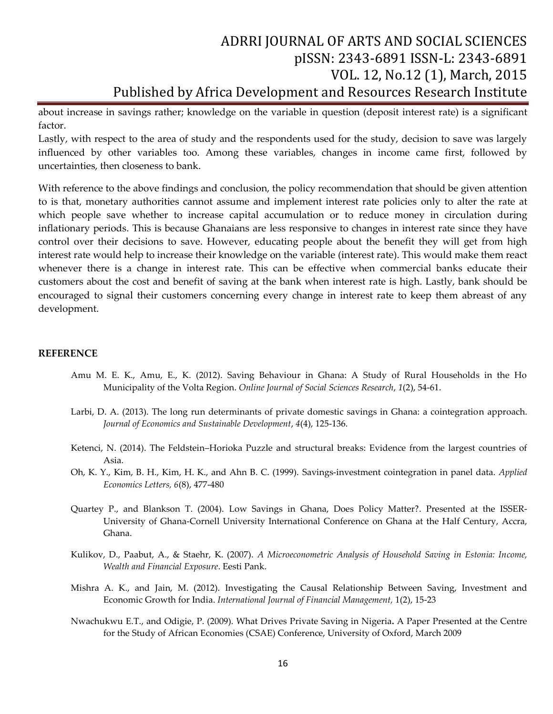about increase in savings rather; knowledge on the variable in question (deposit interest rate) is a significant factor.

Lastly, with respect to the area of study and the respondents used for the study, decision to save was largely influenced by other variables too. Among these variables, changes in income came first, followed by uncertainties, then closeness to bank.

With reference to the above findings and conclusion, the policy recommendation that should be given attention to is that, monetary authorities cannot assume and implement interest rate policies only to alter the rate at which people save whether to increase capital accumulation or to reduce money in circulation during inflationary periods. This is because Ghanaians are less responsive to changes in interest rate since they have control over their decisions to save. However, educating people about the benefit they will get from high interest rate would help to increase their knowledge on the variable (interest rate). This would make them react whenever there is a change in interest rate. This can be effective when commercial banks educate their customers about the cost and benefit of saving at the bank when interest rate is high. Lastly, bank should be encouraged to signal their customers concerning every change in interest rate to keep them abreast of any development.

#### **REFERENCE**

- Amu M. E. K., Amu, E., K. (2012). Saving Behaviour in Ghana: A Study of Rural Households in the Ho Municipality of the Volta Region. *Online Journal of Social Sciences Research*, *1*(2), 54-61.
- Larbi, D. A. (2013). The long run determinants of private domestic savings in Ghana: a cointegration approach. *Journal of Economics and Sustainable Development*, *4*(4), 125-136.
- Ketenci, N. (2014). The Feldstein–Horioka Puzzle and structural breaks: Evidence from the largest countries of Asia.
- Oh, K. Y., Kim, B. H., Kim, H. K., and Ahn B. C. (1999). Savings-investment cointegration in panel data. *Applied Economics Letters, 6*(8), 477-480
- Quartey P., and Blankson T. (2004). Low Savings in Ghana, Does Policy Matter?. Presented at the ISSER-University of Ghana-Cornell University International Conference on Ghana at the Half Century, Accra, Ghana.
- Kulikov, D., Paabut, A., & Staehr, K. (2007). *A Microeconometric Analysis of Household Saving in Estonia: Income, Wealth and Financial Exposure*. Eesti Pank.
- Mishra A. K., and Jain, M. (2012). Investigating the Causal Relationship Between Saving, Investment and Economic Growth for India. *International Journal of Financial Management,* 1(2), 15-23
- Nwachukwu E.T., and Odigie, P. (2009). What Drives Private Saving in Nigeria**.** A Paper Presented at the Centre for the Study of African Economies (CSAE) Conference, University of Oxford, March 2009